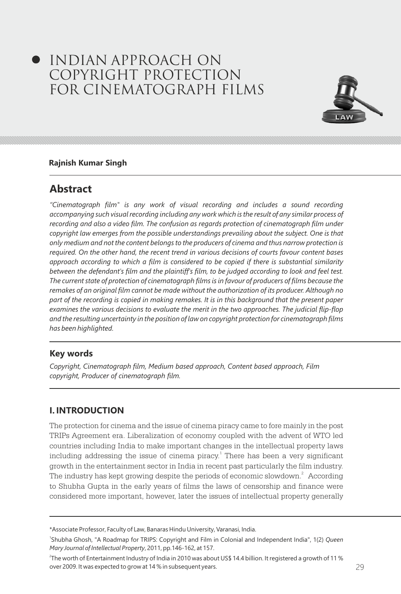# INDIAN APPROACH ON COPYRIGHT PROTECTION FOR CINEMATOGRAPH FILMS



#### **Rajnish Kumar Singh**

# **Abstract**

*"Cinematograph film" is any work of visual recording and includes a sound recording accompanying such visual recording including any work which is the result of any similar process of recording and also a video film. The confusion as regards protection of cinematograph film under*  copyright law emerges from the possible understandings prevailing about the subject. One is that *only medium and not the content belongs to the producers of cinema and thus narrow protection is required. On the other hand, the recent trend in various decisions of courts favour content bases approach according to which a film is considered to be copied if there is substantial similarity between the defendant's film and the plaintiff's film, to be judged according to look and feel test. The current state of protection of cinematograph films is in favour of producers of films because the remakes of an original film cannot be made without the authorization of its producer. Although no part of the recording is copied in making remakes. It is in this background that the present paper*  examines the various decisions to evaluate the merit in the two approaches. The judicial flip-flop *and the resulting uncertainty in the position of law on copyright protection for cinematograph films has been highlighted.* 

### **Key words**

*Copyright, Cinematograph film, Medium based approach, Content based approach, Film copyright, Producer of cinematograph film.*

### **I. INTRODUCTION**

The protection for cinema and the issue of cinema piracy came to fore mainly in the post TRIPs Agreement era. Liberalization of economy coupled with the advent of WTO led countries including India to make important changes in the intellectual property laws including addressing the issue of cinema piracy.<sup>1</sup> There has been a very significant growth in the entertainment sector in India in recent past particularly the film industry. The industry has kept growing despite the periods of economic slowdown.<sup>2</sup> According to Shubha Gupta in the early years of films the laws of censorship and finance were considered more important, however, later the issues of intellectual property generally

<sup>\*</sup>Associate Professor, Faculty of Law, Banaras Hindu University, Varanasi, India.

<sup>1</sup> Shubha Ghosh, "A Roadmap for TRIPS: Copyright and Film in Colonial and Independent India", 1(2) *Queen Mary Journal of Intellectual Property*, 2011, pp.146-162, at 157.

<sup>28</sup> 29 over 2009. It was expected to grow at 14 % in subsequent years. 2 The worth of Entertainment Industry of India in 2010 was about US\$ 14.4 billion. It registered a growth of 11 %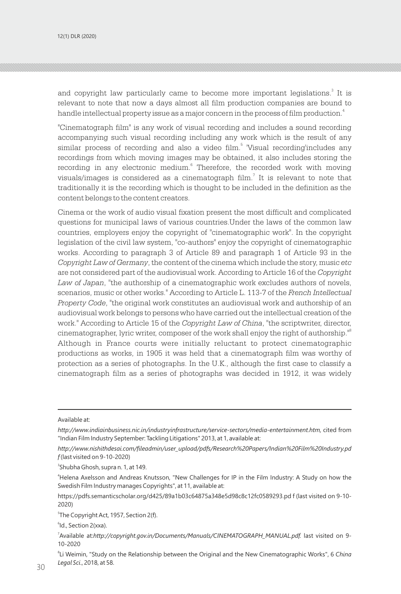12(1) DLR (2020) INDIAN APPROACH ON COPYRIGHT ON COPYRIGHT ON COPYRIGHT ON COPYRIGHT ON COPYRIGHT ON COPYRIGHT

and copyright law particularly came to become more important legislations.<sup>3</sup> It is relevant to note that now a days almost all film production companies are bound to handle intellectual property issue as a major concern in the process of film production.<sup>4</sup>

"Cinematograph film" is any work of visual recording and includes a sound recording accompanying such visual recording including any work which is the result of any similar process of recording and also a video film.<sup>5</sup> 'Visual recording'includes any recordings from which moving images may be obtained, it also includes storing the recording in any electronic medium.<sup>6</sup> Therefore, the recorded work with moving visuals/images is considered as a cinematograph film.<sup>7</sup> It is relevant to note that traditionally it is the recording which is thought to be included in the definition as the content belongs to the content creators.

Cinema or the work of audio visual fixation present the most difficult and complicated questions for municipal laws of various countries.Under the laws of the common law countries, employers enjoy the copyright of "cinematographic work". In the copyright legislation of the civil law system, "co-authors" enjoy the copyright of cinematographic works. According to paragraph 3 of Article 89 and paragraph 1 of Article 93 in the *Copyright Law of Germany*, the content of the cinema which include the story, music *etc* are not considered part of the audiovisual work. According to Article 16 of the *Copyright Law of Japan*, "the authorship of a cinematographic work excludes authors of novels, scenarios, music or other works." According to Article L. 113-7 of the *French Intellectual Property Code*, "the original work constitutes an audiovisual work and authorship of an audiovisual work belongs to persons who have carried out the intellectual creation of the work." According to Article 15 of the *Copyright Law of China*, "the scriptwriter, director, cinematographer, lyric writer, composer of the work shall enjoy the right of authorship."<sup>8</sup> Although in France courts were initially reluctant to protect cinematographic productions as works, in 1905 it was held that a cinematograph film was worthy of protection as a series of photographs. In the U.K., although the first case to classify a cinematograph film as a series of photographs was decided in 1912, it was widely

3 Shubha Ghosh, supra n. 1, at 149.

<sup>4</sup>Helena Axelsson and Andreas Knutsson, "New Challenges for IP in the Film Industry: A Study on how the Swedish Film Industry manages Copyrights", at 11, available at:

https://pdfs.semanticscholar.org/d425/89a1b03c64875a348e5d98c8c12fc0589293.pd f (last visited on 9-10- 2020)

<sup>5</sup>The Copyright Act, 1957, Section 2(f).

6 Id., Section 2(xxa).

 $30<sub>2</sub>$  and  $3<sub>1</sub>$  and  $3<sub>2</sub>$  and  $3<sub>1</sub>$  and  $3<sub>2</sub>$  and  $3<sub>1</sub>$  and  $3<sub>2</sub>$  and  $3<sub>1</sub>$  and  $3<sub>2</sub>$  and  $3<sub>1</sub>$  and  $3<sub>2</sub>$  and  $3<sub>2</sub>$  and  $3<sub>2</sub>$  and  $3<sub>2</sub>$  and  $3<sub>2</sub>$ 8 Li Weimin, "Study on the Relationship between the Original and the New Cinematographic Works", 6 *China Legal Sci*., 2018, at 58.

Available at:

*http://www.indiainbusiness.nic.in/industryinfrastructure/service-sectors/media-entertainment.htm,* cited from "Indian Film Industry September: Tackling Litigations" 2013, at 1, available at:

*http://www.nishithdesai.com/fileadmin/user\_upload/pdfs/Research%20Papers/Indian%20Film%20Industry.pd f* (last visited on 9-10-2020)

Available at:*http://copyright.gov.in/Documents/Manuals/CINEMATOGRAPH\_MANUAL.pdf. last visited on 9-*10-2020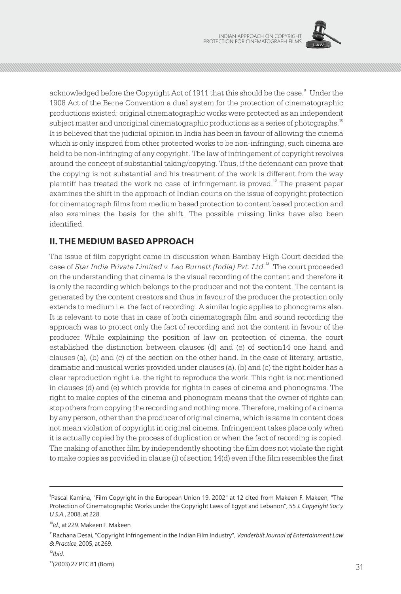

acknowledged before the Copyright Act of 1911 that this should be the case.<sup>9</sup> Under the 1908 Act of the Berne Convention a dual system for the protection of cinematographic productions existed: original cinematographic works were protected as an independent subject matter and unoriginal cinematographic productions as a series of photographs.<sup>10</sup> It is believed that the judicial opinion in India has been in favour of allowing the cinema which is only inspired from other protected works to be non-infringing, such cinema are held to be non-infringing of any copyright. The law of infringement of copyright revolves around the concept of substantial taking/copying. Thus, if the defendant can prove that the copying is not substantial and his treatment of the work is different from the way plaintiff has treated the work no case of infringement is proved. $^{\mathrm{i2}}$  The present paper examines the shift in the approach of Indian courts on the issue of copyright protection for cinematograph films from medium based protection to content based protection and also examines the basis for the shift. The possible missing links have also been identified.

## **II. THE MEDIUM BASED APPROACH**

The issue of film copyright came in discussion when Bambay High Court decided the case of Star India Private Limited v. Leo Burnett (India) Pvt. Ltd.<sup>13</sup> .The court proceeded on the understanding that cinema is the visual recording of the content and therefore it is only the recording which belongs to the producer and not the content. The content is generated by the content creators and thus in favour of the producer the protection only extends to medium i.e. the fact of recording. A similar logic applies to phonograms also. It is relevant to note that in case of both cinematograph film and sound recording the approach was to protect only the fact of recording and not the content in favour of the producer. While explaining the position of law on protection of cinema, the court established the distinction between clauses (d) and (e) of section14 one hand and clauses (a), (b) and (c) of the section on the other hand. In the case of literary, artistic, dramatic and musical works provided under clauses (a), (b) and (c) the right holder has a clear reproduction right i.e. the right to reproduce the work. This right is not mentioned in clauses (d) and (e) which provide for rights in cases of cinema and phonograms. The right to make copies of the cinema and phonogram means that the owner of rights can stop others from copying the recording and nothing more. Therefore, making of a cinema by any person, other than the producer of original cinema, which is same in content does not mean violation of copyright in original cinema. Infringement takes place only when it is actually copied by the process of duplication or when the fact of recording is copied. The making of another film by independently shooting the film does not violate the right to make copies as provided in clause (i) of section 14(d) even if the film resembles the first

<sup>9</sup> Pascal Kamina, "Film Copyright in the European Union 19, 2002" at 12 cited from Makeen F. Makeen, "The Protection of Cinematographic Works under the Copyright Laws of Egypt and Lebanon", 55 *J. Copyright Soc'y U.S.A.*, 2008, at 228.

<sup>10</sup>*Id.*, at 229. Makeen F. Makeen

<sup>11</sup>Rachana Desai, "Copyright Infringement in the Indian Film Industry", *Vanderbilt Journal of Entertainment Law & Practice*, 2005, at 269.

<sup>12</sup>*Ibid*.

 $(2003)$  27 PTC 81 (BOM). <sup>13</sup>(2003) 27 PTC 81 (Bom).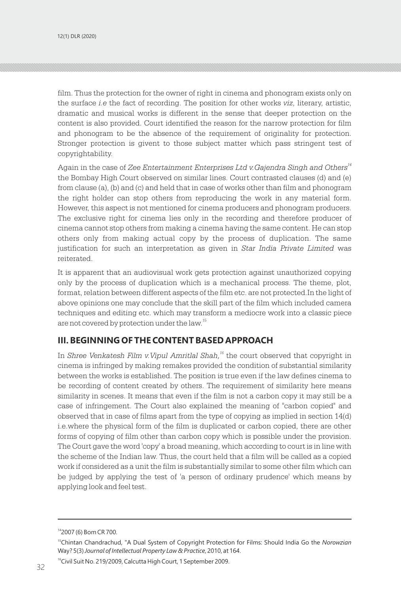film. Thus the protection for the owner of right in cinema and phonogram exists only on the surface *i.e* the fact of recording. The position for other works *viz*, literary, artistic, dramatic and musical works is different in the sense that deeper protection on the content is also provided. Court identified the reason for the narrow protection for film and phonogram to be the absence of the requirement of originality for protection. Stronger protection is givent to those subject matter which pass stringent test of copyrightability.

Again in the case of *Zee Entertainment Enterprises Ltd v.Gajendra Singh and Others<sup>14</sup>* the Bombay High Court observed on similar lines. Court contrasted clauses (d) and (e) from clause (a), (b) and (c) and held that in case of works other than film and phonogram the right holder can stop others from reproducing the work in any material form. However, this aspect is not mentioned for cinema producers and phonogram producers. The exclusive right for cinema lies only in the recording and therefore producer of cinema cannot stop others from making a cinema having the same content. He can stop others only from making actual copy by the process of duplication. The same justification for such an interpretation as given in *Star India Private Limited* was reiterated.

It is apparent that an audiovisual work gets protection against unauthorized copying only by the process of duplication which is a mechanical process. The theme, plot, format, relation between different aspects of the film etc. are not protected.In the light of above opinions one may conclude that the skill part of the film which included camera techniques and editing etc. which may transform a mediocre work into a classic piece are not covered by protection under the law.<sup>15</sup>

#### **III. BEGINNING OF THE CONTENT BASED APPROACH**

In *Shree Venkatesh Film v.Vipul Amritlal Shah*,<sup>16</sup> the court observed that copyright in cinema is infringed by making remakes provided the condition of substantial similarity between the works is established. The position is true even if the law defines cinema to be recording of content created by others. The requirement of similarity here means similarity in scenes. It means that even if the film is not a carbon copy it may still be a case of infringement. The Court also explained the meaning of "carbon copied" and observed that in case of films apart from the type of copying as implied in section 14(d) i.e.where the physical form of the film is duplicated or carbon copied, there are other forms of copying of film other than carbon copy which is possible under the provision. The Court gave the word 'copy' a broad meaning, which according to court is in line with the scheme of the Indian law. Thus, the court held that a film will be called as a copied work if considered as a unit the film is substantially similar to some other film which can be judged by applying the test of 'a person of ordinary prudence' which means by applying look and feel test.

<sup>14</sup>2007 (6) Bom CR 700.

<sup>15</sup>Chintan Chandrachud, "A Dual System of Copyright Protection for Films: Should India Go the *Norowzian* Way? 5(3) *Journal of Intellectual Property Law & Practice*, 2010, at 164.

 $32$  32  $\frac{32}{2}$  32  $\frac{32}{2}$  32  $\frac{32}{2}$  32  $\frac{32}{2}$  32  $\frac{32}{2}$  33  $\frac{32}{2}$  33  $\frac{32}{2}$  33  $\frac{32}{2}$  33  $\frac{32}{2}$  33  $\frac{32}{2}$  33  $\frac{32}{2}$  33  $\frac{32}{2}$  33  $\frac{32}{2}$  33  $\frac{32}{2}$  33  $\frac{32}{2}$  33  $\frac$ <sup>16</sup>Civil Suit No. 219/2009, Calcutta High Court, 1 September 2009.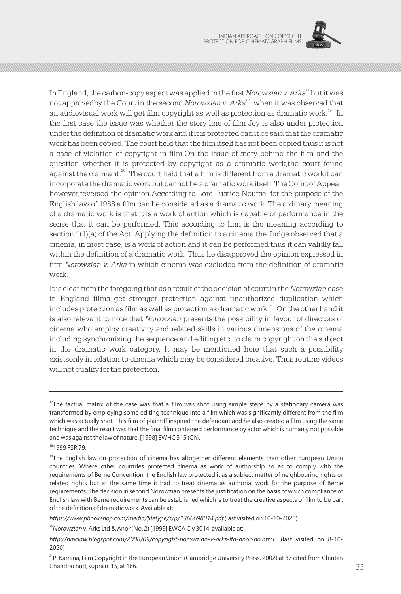

In England, the carbon-copy aspect was applied in the first *Norowzian v. Arks<sup>17</sup>* but it was not approvedby the Court in the second *Norowzian v. Arks<sup>18</sup>* when it was observed that an audiovisual work will get film copyright as well as protection as dramatic work. $^{19}$  In the first case the issue was whether the story line of film Joy is also under protection under the definition of dramatic work and if it is protected can it be said that the dramatic work has been copied. The court held that the film itself has not been copied thus it is not a case of violation of copyright in film.On the issue of story behind the film and the question whether it is protected by copyright as a dramatic work,the court found against the claimant. $^{20}$  The court held that a film is different from a dramatic workit can incorporate the dramatic work but cannot be a dramatic work itself. The Court of Appeal, however,reversed the opinion.According to Lord Justice Nourse, for the purpose of the English law of 1988 a film can be considered as a dramatic work. The ordinary meaning of a dramatic work is that it is a work of action which is capable of performance in the sense that it can be performed. This according to him is the meaning according to section 1(1)(a) of the Act. Applying the definition to a cinema the Judge observed that a cinema, in most case, is a work of action and it can be performed thus it can validly fall within the definition of a dramatic work. Thus he disapproved the opinion expressed in first *Norowzian v. Arks* in which cinema was excluded from the definition of dramatic work.

It is clear from the foregoing that as a result of the decision of court in the *Norowzian* case in England films get stronger protection against unauthorized duplication which includes protection as film as well as protection as dramatic work.<sup>21</sup> On the other hand it is also relevant to note that *Norowzian* presents the possibility in favour of directors of cinema who employ creativity and related skills in various dimensions of the cinema including synchronizing the sequence and editing etc. to claim copyright on the subject in the dramatic work category. It may be mentioned here that such a possibility existsonly in relation to cinema which may be considered creative. Thus routine videos will not qualify for the protection.

<sup>&</sup>lt;sup>17</sup>The factual matrix of the case was that a film was shot using simple steps by a stationary camera was transformed by employing some editing technique into a film which was significantly different from the film which was actually shot. This film of plaintiff inspired the defendant and he also created a film using the same technique and the result was that the final film contained performance by actor which is humanly not possible and was against the law of nature. [1998] EWHC 315 (Ch).

<sup>18</sup>1999 FSR 79.

<sup>&</sup>lt;sup>19</sup>The English law on protection of cinema has altogether different elements than other European Union countries. Where other countries protected cinema as work of authorship so as to comply with the requirements of Berne Convention, the English law protected it as a subject matter of neighbouring rights or related rights but at the same time it had to treat cinema as authorial work for the purpose of Berne requirements. The decision in second Norowzian presents the justification on the basis of which compliance of English law with Berne requirements can be established which is to treat the creative aspects of film to be part of the definition of dramatic work. Available at:

*https://www.pbookshop.com/media/filetype/s/p/1366698014.pdf* (last visited on 10-10-2020)

<sup>2</sup>*<sup>0</sup>Norowzian* v. Arks Ltd & Anor (No. 2) [1999] EWCA Civ 3014, available at:

*http://nipclaw.blogspot.com/2008/09/copyright-norowzian-v-arks-ltd-anor-no.html* . (last visited on 8-10- 2020)

Chandrachud, supra n. 15, at 166. <sup>21</sup>P. Kamina, Film Copyright in the European Union (Cambridge University Press, 2002) at 37 cited from Chintan Chandrachud, supra n. 15, at 166.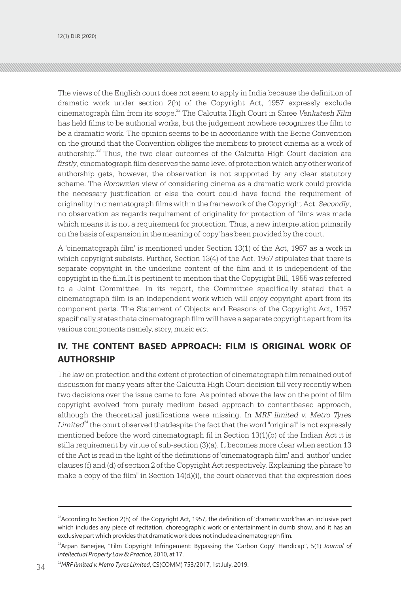The views of the English court does not seem to apply in India because the definition of dramatic work under section 2(h) of the Copyright Act, 1957 expressly exclude cinematograph film from its scope.<sup>22</sup> The Calcutta High Court in Shree *Venkatesh Film* has held films to be authorial works, but the judgement nowhere recognizes the film to be a dramatic work. The opinion seems to be in accordance with the Berne Convention on the ground that the Convention obliges the members to protect cinema as a work of authorship. $23$  Thus, the two clear outcomes of the Calcutta High Court decision are *firstly*, cinematograph film deserves the same level of protection which any other work of authorship gets, however, the observation is not supported by any clear statutory scheme. The *Norowzian* view of considering cinema as a dramatic work could provide the necessary justification or else the court could have found the requirement of originality in cinematograph films within the framework of the Copyright Act. *Secondly*, no observation as regards requirement of originality for protection of films was made which means it is not a requirement for protection. Thus, a new interpretation primarily on the basis of expansion in the meaning of 'copy' has been provided by the court.

A 'cinematograph film' is mentioned under Section 13(1) of the Act, 1957 as a work in which copyright subsists. Further, Section 13(4) of the Act, 1957 stipulates that there is separate copyright in the underline content of the film and it is independent of the copyright in the film.It is pertinent to mention that the Copyright Bill, 1955 was referred to a Joint Committee. In its report, the Committee specifically stated that a cinematograph film is an independent work which will enjoy copyright apart from its component parts. The Statement of Objects and Reasons of the Copyright Act, 1957 specifically states thata cinematograph film will have a separate copyright apart from its various components namely, story, music *etc*.

# **IV. THE CONTENT BASED APPROACH: FILM IS ORIGINAL WORK OF AUTHORSHIP**

The law on protection and the extent of protection of cinematograph film remained out of discussion for many years after the Calcutta High Court decision till very recently when two decisions over the issue came to fore. As pointed above the law on the point of film copyright evolved from purely medium based approach to contentbased approach, although the theoretical justifications were missing. In *MRF limited v. Metro Tyres Limited*<sup>24</sup> the court observed that despite the fact that the word "original" is not expressly mentioned before the word cinematograph fil in Section 13(1)(b) of the Indian Act it is stilla requirement by virtue of sub-section (3)(a). It becomes more clear when section 13 of the Act is read in the light of the definitions of 'cinematograph film' and 'author' under clauses (f) and (d) of section 2 of the Copyright Act respectively. Explaining the phrase"to make a copy of the film" in Section  $14(d)(i)$ , the court observed that the expression does

<sup>24</sup>MRF limited v. Metro Tyres Limited, CS(COMM) 753/2017, 1st July, 2019. 2019.

 $^{22}$ According to Section 2(h) of The Copyright Act, 1957, the definition of 'dramatic work'has an inclusive part which includes any piece of recitation, choreographic work or entertainment in dumb show, and it has an exclusive part which provides that dramatic work does not include a cinematograph film.

<sup>&</sup>lt;sup>23</sup> Arpan Banerjee, "Film Copyright Infringement: Bypassing the 'Carbon Copy' Handicap", 5(1) Journal of *Intellectual Property Law & Practice*, 2010, at 17.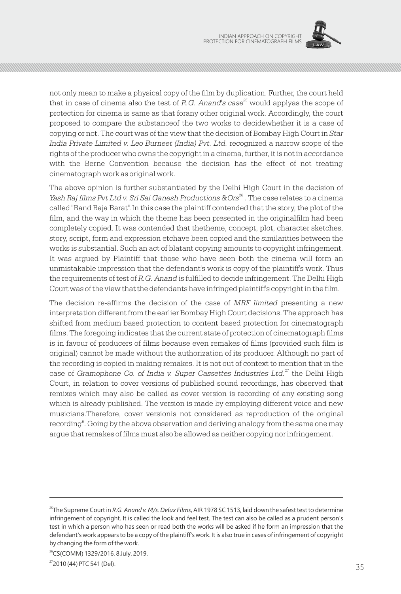

not only mean to make a physical copy of the film by duplication. Further, the court held that in case of cinema also the test of *R.G. Anand's case*<sup>25</sup> would applyas the scope of protection for cinema is same as that forany other original work. Accordingly, the court proposed to compare the substanceof the two works to decidewhether it is a case of copying or not. The court was of the view that the decision of Bombay High Court in *Star India Private Limited v. Leo Burneet (India) Pvt. Ltd.* recognized a narrow scope of the rights of the producer who owns the copyright in a cinema, further, it is not in accordance with the Berne Convention because the decision has the effect of not treating cinematograph work as original work.

The above opinion is further substantiated by the Delhi High Court in the decision of *Yash Raj films Pvt Ltd v. Sri Sai Ganesh Productions &Ors*<sup>26</sup>. The case relates to a cinema called "Band Baja Barat".In this case the plaintiff contended that the story, the plot of the film, and the way in which the theme has been presented in the originalfilm had been completely copied. It was contended that thetheme, concept, plot, character sketches, story, script, form and expression etchave been copied and the similarities between the works is substantial. Such an act of blatant copying amounts to copyright infringement. It was argued by Plaintiff that those who have seen both the cinema will form an unmistakable impression that the defendant's work is copy of the plaintiff's work. Thus the requirements of test of *R.G. Anand* is fulfilled to decide infringement. The Delhi High Court was of the view that the defendants have infringed plaintiff's copyright in the film.

The decision re-affirms the decision of the case of *MRF limited* presenting a new interpretation different from the earlier Bombay High Court decisions. The approach has shifted from medium based protection to content based protection for cinematograph films. The foregoing indicates that the current state of protection of cinematograph films is in favour of producers of films because even remakes of films (provided such film is original) cannot be made without the authorization of its producer. Although no part of the recording is copied in making remakes. It is not out of context to mention that in the case of Gramophone Co. of India v. Super Cassettes Industries Ltd.<sup>27</sup> the Delhi High Court, in relation to cover versions of published sound recordings, has observed that remixes which may also be called as cover version is recording of any existing song which is already published. The version is made by employing different voice and new musicians.Therefore, cover versionis not considered as reproduction of the original recording". Going by the above observation and deriving analogy from the same one may argue that remakes of films must also be allowed as neither copying nor infringement.

<sup>25</sup>The Supreme Court in *R.G. Anand v. M/s. Delux Films*, AIR 1978 SC 1513, laid down the safest test to determine infringement of copyright. It is called the look and feel test. The test can also be called as a prudent person's test in which a person who has seen or read both the works will be asked if he form an impression that the defendant's work appears to be a copy of the plaintiff's work. It is also true in cases of infringement of copyright by changing the form of the work.

<sup>&</sup>lt;sup>26</sup>CS(COMM) 1329/2016, 8 July, 2019.

 $2010(44)$  PTC 54T (Det). <sup>27</sup> 2010 (44) PTC 541 (Del).